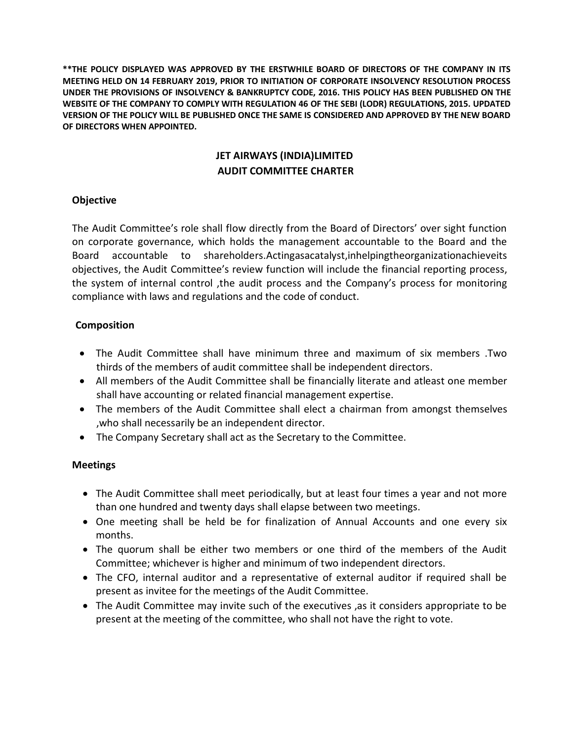**\*\*THE POLICY DISPLAYED WAS APPROVED BY THE ERSTWHILE BOARD OF DIRECTORS OF THE COMPANY IN ITS MEETING HELD ON 14 FEBRUARY 2019, PRIOR TO INITIATION OF CORPORATE INSOLVENCY RESOLUTION PROCESS UNDER THE PROVISIONS OF INSOLVENCY & BANKRUPTCY CODE, 2016. THIS POLICY HAS BEEN PUBLISHED ON THE WEBSITE OF THE COMPANY TO COMPLY WITH REGULATION 46 OF THE SEBI (LODR) REGULATIONS, 2015. UPDATED VERSION OF THE POLICY WILL BE PUBLISHED ONCE THE SAME IS CONSIDERED AND APPROVED BY THE NEW BOARD OF DIRECTORS WHEN APPOINTED.**

# **JET AIRWAYS (INDIA)LIMITED AUDIT COMMITTEE CHARTER**

#### **Objective**

The Audit Committee's role shall flow directly from the Board of Directors' over sight function on corporate governance, which holds the management accountable to the Board and the Board accountable to shareholders.Actingasacatalyst,inhelpingtheorganizationachieveits objectives, the Audit Committee's review function will include the financial reporting process, the system of internal control ,the audit process and the Company's process for monitoring compliance with laws and regulations and the code of conduct.

# **Composition**

- The Audit Committee shall have minimum three and maximum of six members .Two thirds of the members of audit committee shall be independent directors.
- All members of the Audit Committee shall be financially literate and atleast one member shall have accounting or related financial management expertise.
- The members of the Audit Committee shall elect a chairman from amongst themselves ,who shall necessarily be an independent director.
- The Company Secretary shall act as the Secretary to the Committee.

# **Meetings**

- The Audit Committee shall meet periodically, but at least four times a year and not more than one hundred and twenty days shall elapse between two meetings.
- One meeting shall be held be for finalization of Annual Accounts and one every six months.
- The quorum shall be either two members or one third of the members of the Audit Committee; whichever is higher and minimum of two independent directors.
- The CFO, internal auditor and a representative of external auditor if required shall be present as invitee for the meetings of the Audit Committee.
- The Audit Committee may invite such of the executives ,as it considers appropriate to be present at the meeting of the committee, who shall not have the right to vote.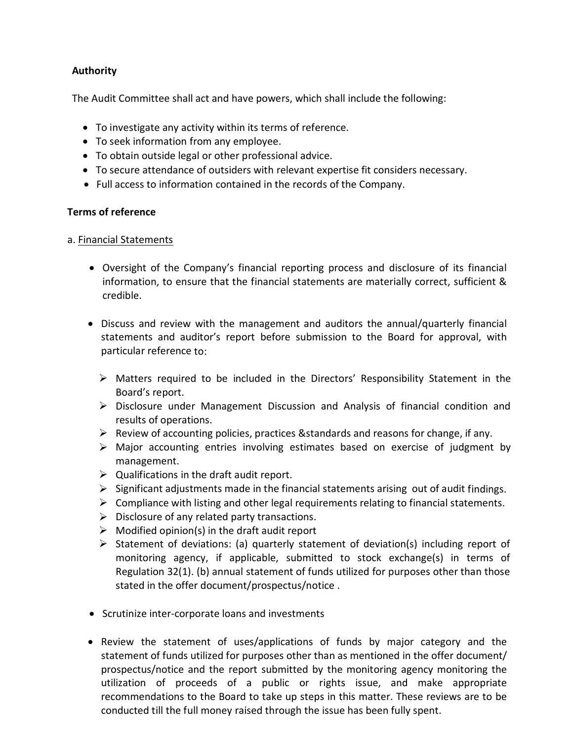# **Authority**

The Audit Committee shall act and have powers, which shall include the following:

- To investigate any activity within its terms of reference.
- To seek information from any employee.
- To obtain outside legal or other professional advice.
- To secure attendance of outsiders with relevant expertise fit considers necessary.
- Full access to information contained in the records of the Company.

#### **Terms of reference**

- a. Financial Statements
	- Oversight of the Company's financial reporting process and disclosure of its financial information, to ensure that the financial statements are materially correct, sufficient & credible.
	- Discuss and review with the management and auditors the annual/quarterly financial statements and auditor's report before submission to the Board for approval, with particular reference to:
		- Matters required to be included in the Directors' Responsibility Statement in the Board's report.
		- Disclosure under Management Discussion and Analysis of financial condition and results of operations.
		- $\triangleright$  Review of accounting policies, practices & standards and reasons for change, if any.
		- Major accounting entries involving estimates based on exercise of judgment by management.
		- $\triangleright$  Qualifications in the draft audit report.
		- $\triangleright$  Significant adjustments made in the financial statements arising out of audit findings.
		- $\triangleright$  Compliance with listing and other legal requirements relating to financial statements.
		- $\triangleright$  Disclosure of any related party transactions.
		- $\triangleright$  Modified opinion(s) in the draft audit report
		- $\triangleright$  Statement of deviations: (a) quarterly statement of deviation(s) including report of monitoring agency, if applicable, submitted to stock exchange(s) in terms of Regulation 32(1). (b) annual statement of funds utilized for purposes other than those stated in the offer document/prospectus/notice .
	- Scrutinize inter-corporate loans and investments
	- Review the statement of uses/applications of funds by major category and the statement of funds utilized for purposes other than as mentioned in the offer document/ prospectus/notice and the report submitted by the monitoring agency monitoring the utilization of proceeds of a public or rights issue, and make appropriate recommendations to the Board to take up steps in this matter. These reviews are to be conducted till the full money raised through the issue has been fully spent.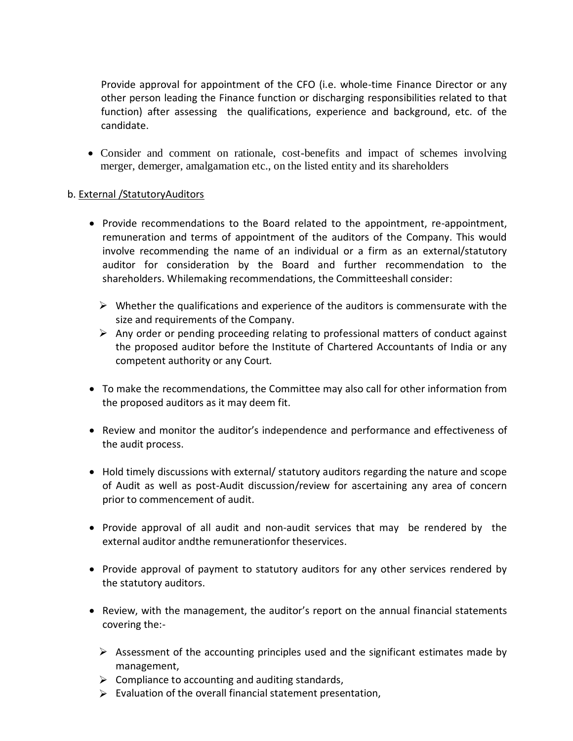Provide approval for appointment of the CFO (i.e. whole-time Finance Director or any other person leading the Finance function or discharging responsibilities related to that function) after assessing the qualifications, experience and background, etc. of the candidate.

 Consider and comment on rationale, cost-benefits and impact of schemes involving merger, demerger, amalgamation etc., on the listed entity and its shareholders

#### b. External /StatutoryAuditors

- Provide recommendations to the Board related to the appointment, re-appointment, remuneration and terms of appointment of the auditors of the Company. This would involve recommending the name of an individual or a firm as an external/statutory auditor for consideration by the Board and further recommendation to the shareholders. Whilemaking recommendations, the Committeeshall consider:
	- $\triangleright$  Whether the qualifications and experience of the auditors is commensurate with the size and requirements of the Company.
	- $\triangleright$  Any order or pending proceeding relating to professional matters of conduct against the proposed auditor before the Institute of Chartered Accountants of India or any competent authority or any Court*.*
- To make the recommendations, the Committee may also call for other information from the proposed auditors as it may deem fit.
- Review and monitor the auditor's independence and performance and effectiveness of the audit process.
- Hold timely discussions with external/ statutory auditors regarding the nature and scope of Audit as well as post-Audit discussion/review for ascertaining any area of concern prior to commencement of audit.
- Provide approval of all audit and non-audit services that may be rendered by the external auditor andthe remunerationfor theservices.
- Provide approval of payment to statutory auditors for any other services rendered by the statutory auditors.
- Review, with the management, the auditor's report on the annual financial statements covering the:-
	- $\triangleright$  Assessment of the accounting principles used and the significant estimates made by management,
	- $\triangleright$  Compliance to accounting and auditing standards,
	- $\triangleright$  Evaluation of the overall financial statement presentation,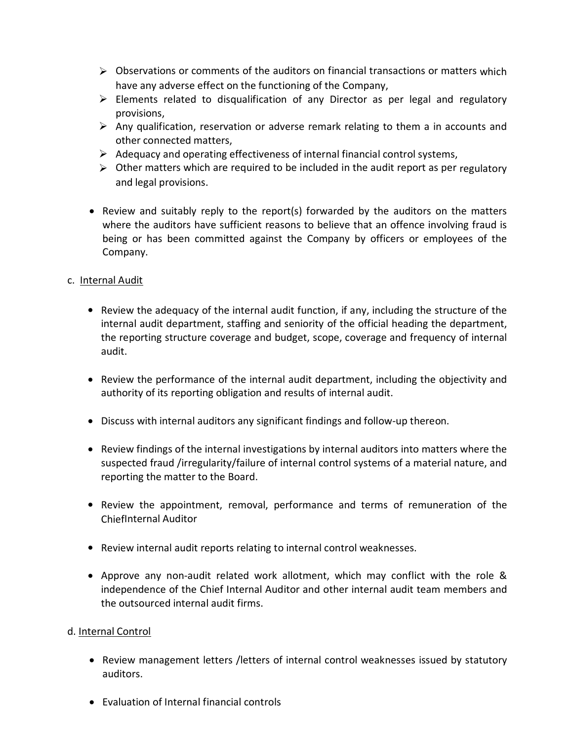- $\triangleright$  Observations or comments of the auditors on financial transactions or matters which have any adverse effect on the functioning of the Company,
- $\triangleright$  Elements related to disqualification of any Director as per legal and regulatory provisions,
- $\triangleright$  Any qualification, reservation or adverse remark relating to them a in accounts and other connected matters,
- $\triangleright$  Adequacy and operating effectiveness of internal financial control systems,
- $\triangleright$  Other matters which are required to be included in the audit report as per regulatory and legal provisions.
- Review and suitably reply to the report(s) forwarded by the auditors on the matters where the auditors have sufficient reasons to believe that an offence involving fraud is being or has been committed against the Company by officers or employees of the Company.

# c. Internal Audit

- Review the adequacy of the internal audit function, if any, including the structure of the internal audit department, staffing and seniority of the official heading the department, the reporting structure coverage and budget, scope, coverage and frequency of internal audit.
- Review the performance of the internal audit department, including the objectivity and authority of its reporting obligation and results of internal audit.
- Discuss with internal auditors any significant findings and follow-up thereon.
- Review findings of the internal investigations by internal auditors into matters where the suspected fraud /irregularity/failure of internal control systems of a material nature, and reporting the matter to the Board.
- Review the appointment, removal, performance and terms of remuneration of the ChiefInternal Auditor
- Review internal audit reports relating to internal control weaknesses.
- Approve any non-audit related work allotment, which may conflict with the role & independence of the Chief Internal Auditor and other internal audit team members and the outsourced internal audit firms.

# d. Internal Control

- Review management letters /letters of internal control weaknesses issued by statutory auditors.
- Evaluation of Internal financial controls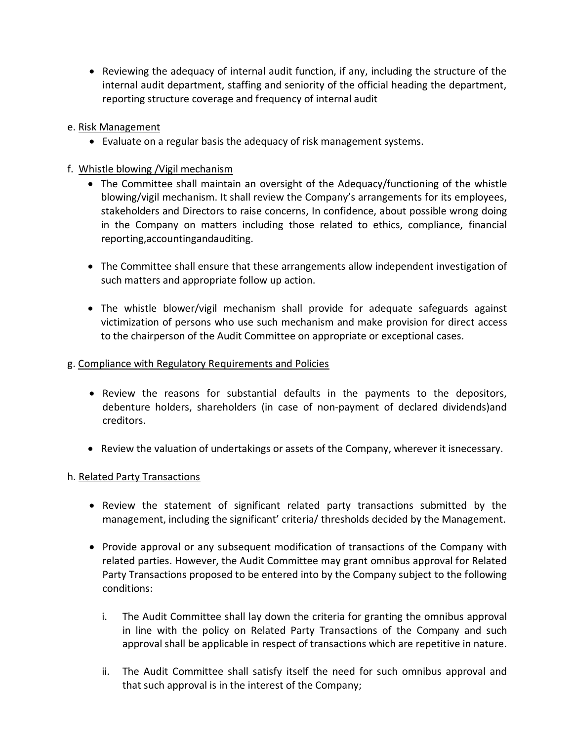Reviewing the adequacy of internal audit function, if any, including the structure of the internal audit department, staffing and seniority of the official heading the department, reporting structure coverage and frequency of internal audit

#### e. Risk Management

- Evaluate on a regular basis the adequacy of risk management systems.
- f. Whistle blowing /Vigil mechanism
	- The Committee shall maintain an oversight of the Adequacy/functioning of the whistle blowing/vigil mechanism. It shall review the Company's arrangements for its employees, stakeholders and Directors to raise concerns, In confidence, about possible wrong doing in the Company on matters including those related to ethics, compliance, financial reporting,accountingandauditing.
	- The Committee shall ensure that these arrangements allow independent investigation of such matters and appropriate follow up action.
	- The whistle blower/vigil mechanism shall provide for adequate safeguards against victimization of persons who use such mechanism and make provision for direct access to the chairperson of the Audit Committee on appropriate or exceptional cases.

#### g. Compliance with Regulatory Requirements and Policies

- Review the reasons for substantial defaults in the payments to the depositors, debenture holders, shareholders (in case of non-payment of declared dividends)and creditors.
- Review the valuation of undertakings or assets of the Company, wherever it isnecessary.

#### h. Related Party Transactions

- Review the statement of significant related party transactions submitted by the management, including the significant' criteria/ thresholds decided by the Management.
- Provide approval or any subsequent modification of transactions of the Company with related parties. However, the Audit Committee may grant omnibus approval for Related Party Transactions proposed to be entered into by the Company subject to the following conditions:
	- i. The Audit Committee shall lay down the criteria for granting the omnibus approval in line with the policy on Related Party Transactions of the Company and such approval shall be applicable in respect of transactions which are repetitive in nature.
	- ii. The Audit Committee shall satisfy itself the need for such omnibus approval and that such approval is in the interest of the Company;